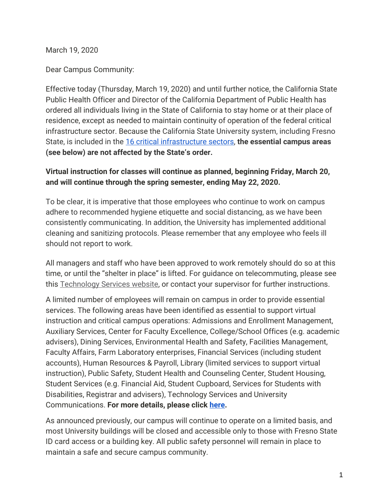March 19, 2020

Dear Campus Community:

Effective today (Thursday, March 19, 2020) and until further notice, the California State Public Health Officer and Director of the California Department of Public Health has ordered all individuals living in the State of California to stay home or at their place of residence, except as needed to maintain continuity of operation of the federal critical infrastructure sector. Because the California State University system, including Fresno State, is included in the [16 critical infrastructure sectors,](https://www.cisa.gov/identifying-critical-infrastructure-during-covid-19) **the essential campus areas (see below) are not affected by the State's order.**

## **Virtual instruction for classes will continue as planned, beginning Friday, March 20, and will continue through the spring semester, ending May 22, 2020.**

To be clear, it is imperative that those employees who continue to work on campus adhere to recommended hygiene etiquette and social distancing, as we have been consistently communicating. In addition, the University has implemented additional cleaning and sanitizing protocols. Please remember that any employee who feels ill should not report to work.

All managers and staff who have been approved to work remotely should do so at this time, or until the "shelter in place" is lifted. For guidance on telecommuting, please see this [Technology Services website,](http://fresnostate.edu/technology/workingremotely/) or contact your supervisor for further instructions.

A limited number of employees will remain on campus in order to provide essential services. The following areas have been identified as essential to support virtual instruction and critical campus operations: Admissions and Enrollment Management, Auxiliary Services, Center for Faculty Excellence, College/School Offices (e.g. academic advisers), Dining Services, Environmental Health and Safety, Facilities Management, Faculty Affairs, Farm Laboratory enterprises, Financial Services (including student accounts), Human Resources & Payroll, Library (limited services to support virtual instruction), Public Safety, Student Health and Counseling Center, Student Housing, Student Services (e.g. Financial Aid, Student Cupboard, Services for Students with Disabilities, Registrar and advisers), Technology Services and University Communications. **For more details, please click [here.](http://fresnostate.edu/president/coronavirus/communication/3-18-20-hr-guidance.html)**

As announced previously, our campus will continue to operate on a limited basis, and most University buildings will be closed and accessible only to those with Fresno State ID card access or a building key. All public safety personnel will remain in place to maintain a safe and secure campus community.